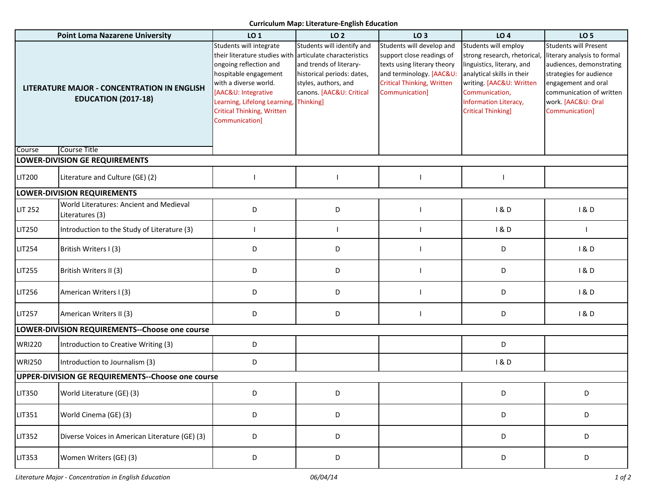## **Curriculum Map: Literature-English Education**

| <b>Point Loma Nazarene University</b>                                            |                                                            | LO 1                                                                                                                                                                                                                                                                          | LO 2                                                                                                                                                 | LO <sub>3</sub>                                                                                                                                                          | LO <sub>4</sub>                                                                                                                                                                                                      | LO <sub>5</sub>                                                                                                                                                                                               |  |  |  |
|----------------------------------------------------------------------------------|------------------------------------------------------------|-------------------------------------------------------------------------------------------------------------------------------------------------------------------------------------------------------------------------------------------------------------------------------|------------------------------------------------------------------------------------------------------------------------------------------------------|--------------------------------------------------------------------------------------------------------------------------------------------------------------------------|----------------------------------------------------------------------------------------------------------------------------------------------------------------------------------------------------------------------|---------------------------------------------------------------------------------------------------------------------------------------------------------------------------------------------------------------|--|--|--|
| <b>LITERATURE MAJOR - CONCENTRATION IN ENGLISH</b><br><b>EDUCATION (2017-18)</b> |                                                            | Students will integrate<br>their literature studies with articulate characteristics<br>ongoing reflection and<br>hospitable engagement<br>with a diverse world.<br>[AAC&U: Integrative<br>Learning, Lifelong Learning,<br><b>Critical Thinking, Written</b><br>Communication] | Students will identify and<br>and trends of literary-<br>historical periods: dates,<br>styles, authors, and<br>canons. [AAC&U: Critical<br>Thinking] | Students will develop and<br>support close readings of<br>texts using literary theory<br>and terminology. [AAC&U:<br><b>Critical Thinking, Written</b><br>Communication] | Students will employ<br>strong research, rhetorical,<br>linguistics, literary, and<br>analytical skills in their<br>writing. [AAC&U: Written<br>Communication,<br>Information Literacy,<br><b>Critical Thinking]</b> | <b>Students will Present</b><br>literary analysis to formal<br>audiences, demonstrating<br>strategies for audience<br>engagement and oral<br>communication of written<br>work. [AAC&U: Oral<br>Communication] |  |  |  |
| Course                                                                           | Course Title                                               |                                                                                                                                                                                                                                                                               |                                                                                                                                                      |                                                                                                                                                                          |                                                                                                                                                                                                                      |                                                                                                                                                                                                               |  |  |  |
|                                                                                  | LOWER-DIVISION GE REQUIREMENTS                             |                                                                                                                                                                                                                                                                               |                                                                                                                                                      |                                                                                                                                                                          |                                                                                                                                                                                                                      |                                                                                                                                                                                                               |  |  |  |
| <b>LIT200</b>                                                                    | Literature and Culture (GE) (2)                            |                                                                                                                                                                                                                                                                               |                                                                                                                                                      |                                                                                                                                                                          |                                                                                                                                                                                                                      |                                                                                                                                                                                                               |  |  |  |
|                                                                                  | <b>LOWER-DIVISION REQUIREMENTS</b>                         |                                                                                                                                                                                                                                                                               |                                                                                                                                                      |                                                                                                                                                                          |                                                                                                                                                                                                                      |                                                                                                                                                                                                               |  |  |  |
| <b>LIT 252</b>                                                                   | World Literatures: Ancient and Medieval<br>Literatures (3) | D                                                                                                                                                                                                                                                                             | D                                                                                                                                                    |                                                                                                                                                                          | 1&0                                                                                                                                                                                                                  | 1&D                                                                                                                                                                                                           |  |  |  |
| LIT250                                                                           | Introduction to the Study of Literature (3)                |                                                                                                                                                                                                                                                                               |                                                                                                                                                      |                                                                                                                                                                          | 1&0                                                                                                                                                                                                                  |                                                                                                                                                                                                               |  |  |  |
| <b>LIT254</b>                                                                    | British Writers I (3)                                      | D                                                                                                                                                                                                                                                                             | D                                                                                                                                                    |                                                                                                                                                                          | D                                                                                                                                                                                                                    | 1&D                                                                                                                                                                                                           |  |  |  |
| <b>LIT255</b>                                                                    | British Writers II (3)                                     | D                                                                                                                                                                                                                                                                             | D                                                                                                                                                    |                                                                                                                                                                          | D                                                                                                                                                                                                                    | 1&0                                                                                                                                                                                                           |  |  |  |
| <b>LIT256</b>                                                                    | American Writers I (3)                                     | D                                                                                                                                                                                                                                                                             | D                                                                                                                                                    |                                                                                                                                                                          | D                                                                                                                                                                                                                    | 1&0                                                                                                                                                                                                           |  |  |  |
| LIT257                                                                           | American Writers II (3)                                    | D                                                                                                                                                                                                                                                                             | D                                                                                                                                                    |                                                                                                                                                                          | D                                                                                                                                                                                                                    | 1&0                                                                                                                                                                                                           |  |  |  |
| LOWER-DIVISION REQUIREMENTS--Choose one course                                   |                                                            |                                                                                                                                                                                                                                                                               |                                                                                                                                                      |                                                                                                                                                                          |                                                                                                                                                                                                                      |                                                                                                                                                                                                               |  |  |  |
| <b>WRI220</b>                                                                    | Introduction to Creative Writing (3)                       | D                                                                                                                                                                                                                                                                             |                                                                                                                                                      |                                                                                                                                                                          | D                                                                                                                                                                                                                    |                                                                                                                                                                                                               |  |  |  |
| <b>WRI250</b>                                                                    | Introduction to Journalism (3)                             | D                                                                                                                                                                                                                                                                             |                                                                                                                                                      |                                                                                                                                                                          | 1 & D                                                                                                                                                                                                                |                                                                                                                                                                                                               |  |  |  |
| UPPER-DIVISION GE REQUIREMENTS--Choose one course                                |                                                            |                                                                                                                                                                                                                                                                               |                                                                                                                                                      |                                                                                                                                                                          |                                                                                                                                                                                                                      |                                                                                                                                                                                                               |  |  |  |
| <b>LIT350</b>                                                                    | World Literature (GE) (3)                                  | D                                                                                                                                                                                                                                                                             | D                                                                                                                                                    |                                                                                                                                                                          | D                                                                                                                                                                                                                    | D.                                                                                                                                                                                                            |  |  |  |
| <b>LIT351</b>                                                                    | World Cinema (GE) (3)                                      | D                                                                                                                                                                                                                                                                             | D                                                                                                                                                    |                                                                                                                                                                          | D                                                                                                                                                                                                                    | D                                                                                                                                                                                                             |  |  |  |
| <b>LIT352</b>                                                                    | Diverse Voices in American Literature (GE) (3)             | D                                                                                                                                                                                                                                                                             | D                                                                                                                                                    |                                                                                                                                                                          | D                                                                                                                                                                                                                    | D                                                                                                                                                                                                             |  |  |  |
| <b>LIT353</b>                                                                    | Women Writers (GE) (3)                                     | D                                                                                                                                                                                                                                                                             | D                                                                                                                                                    |                                                                                                                                                                          | D                                                                                                                                                                                                                    | D                                                                                                                                                                                                             |  |  |  |